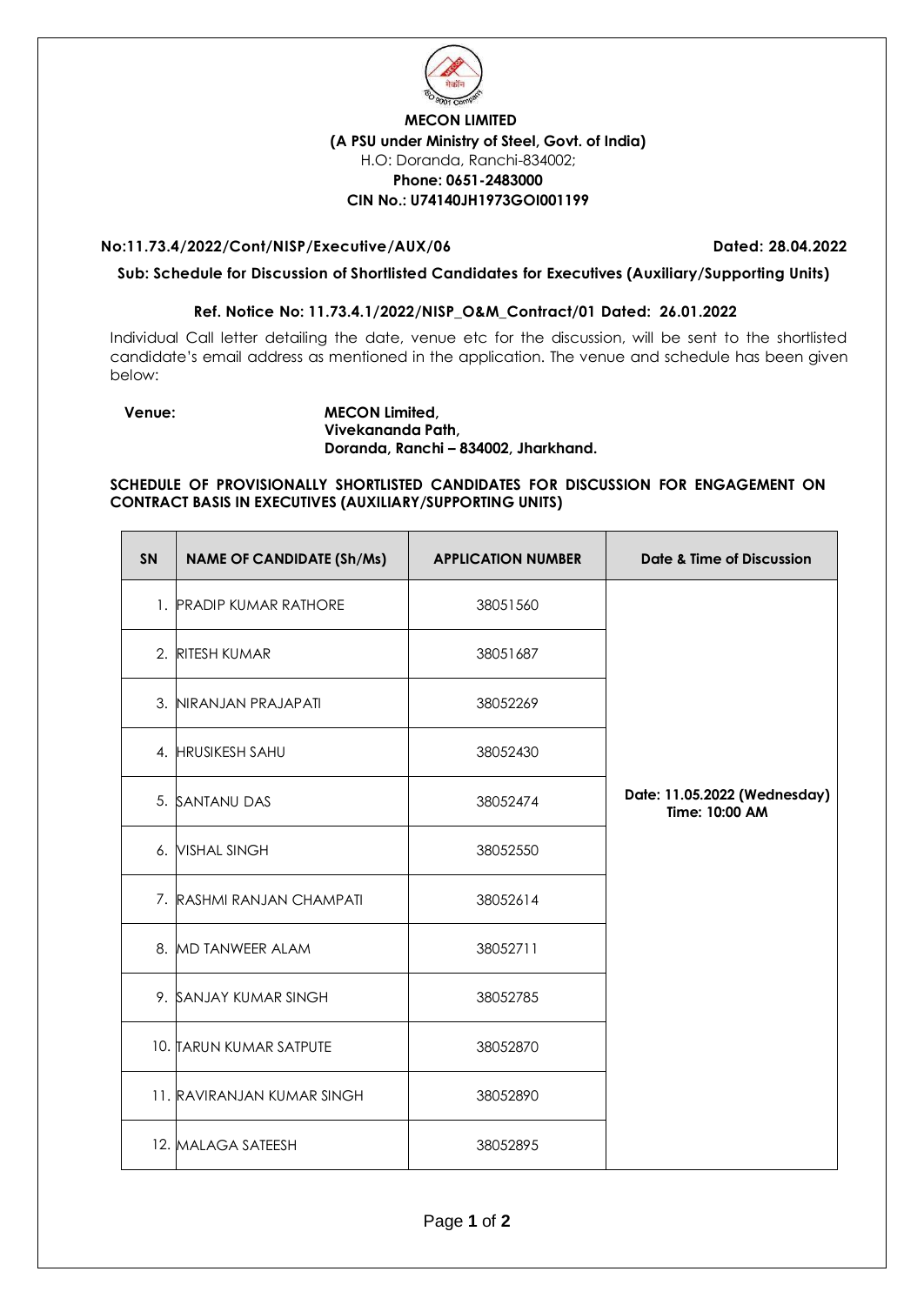

## **MECON LIMITED (A PSU under Ministry of Steel, Govt. of India)** H.O: Doranda, Ranchi-834002; **Phone: 0651-2483000 CIN No.: U74140JH1973GOI001199**

### **No:11.73.4/2022/Cont/NISP/Executive/AUX/06 Dated: 28.04.2022**

**Sub: Schedule for Discussion of Shortlisted Candidates for Executives (Auxiliary/Supporting Units)** 

### **Ref. Notice No: 11.73.4.1/2022/NISP\_O&M\_Contract/01 Dated: 26.01.2022**

Individual Call letter detailing the date, venue etc for the discussion, will be sent to the shortlisted candidate's email address as mentioned in the application. The venue and schedule has been given below:

#### **Venue: MECON Limited, Vivekananda Path, Doranda, Ranchi – 834002, Jharkhand.**

**SCHEDULE OF PROVISIONALLY SHORTLISTED CANDIDATES FOR DISCUSSION FOR ENGAGEMENT ON CONTRACT BASIS IN EXECUTIVES (AUXILIARY/SUPPORTING UNITS)**

| <b>SN</b> | <b>NAME OF CANDIDATE (Sh/Ms)</b> | <b>APPLICATION NUMBER</b> | Date & Time of Discussion                      |
|-----------|----------------------------------|---------------------------|------------------------------------------------|
|           | 1. PRADIP KUMAR RATHORE          | 38051560                  |                                                |
| 2.        | <b>RITESH KUMAR</b>              | 38051687                  |                                                |
|           | 3. NIRANJAN PRAJAPATI            | 38052269                  |                                                |
|           | 4. HRUSIKESH SAHU                | 38052430                  |                                                |
|           | 5. SANTANU DAS                   | 38052474                  | Date: 11.05.2022 (Wednesday)<br>Time: 10:00 AM |
|           | 6. VISHAL SINGH                  | 38052550                  |                                                |
|           | 7. RASHMI RANJAN CHAMPATI        | 38052614                  |                                                |
|           | 8. MD TANWEER ALAM               | 38052711                  |                                                |
|           | 9. SANJAY KUMAR SINGH            | 38052785                  |                                                |
|           | 10. TARUN KUMAR SATPUTE          | 38052870                  |                                                |
|           | 11. RAVIRANJAN KUMAR SINGH       | 38052890                  |                                                |
|           | 12. MALAGA SATEESH               | 38052895                  |                                                |